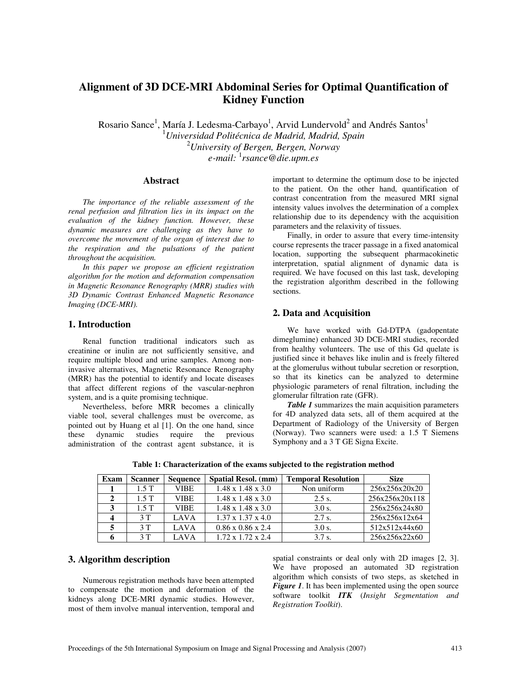# **Alignment of 3D DCE-MRI Abdominal Series for Optimal Quantification of Kidney Function**

Rosario Sance $^1$ , María J. Ledesma-Carbayo $^1$ , Arvid Lundervold $^2$  and Andrés Santos $^1$ <sup>1</sup>*Universidad Politécnica de Madrid, Madrid, Spain*  <sup>2</sup>*University of Bergen, Bergen, Norway e-mail:* <sup>1</sup> *rsance@die.upm.es* 

#### **Abstract**

*The importance of the reliable assessment of the renal perfusion and filtration lies in its impact on the evaluation of the kidney function. However, these dynamic measures are challenging as they have to overcome the movement of the organ of interest due to the respiration and the pulsations of the patient throughout the acquisition.* 

*In this paper we propose an efficient registration algorithm for the motion and deformation compensation in Magnetic Resonance Renography (MRR) studies with 3D Dynamic Contrast Enhanced Magnetic Resonance Imaging (DCE-MRI).* 

### **1. Introduction**

Renal function traditional indicators such as creatinine or inulin are not sufficiently sensitive, and require multiple blood and urine samples. Among noninvasive alternatives, Magnetic Resonance Renography (MRR) has the potential to identify and locate diseases that affect different regions of the vascular-nephron system, and is a quite promising technique.

Nevertheless, before MRR becomes a clinically viable tool, several challenges must be overcome, as pointed out by Huang et al [1]. On the one hand, since these dynamic studies require the previous administration of the contrast agent substance, it is important to determine the optimum dose to be injected to the patient. On the other hand, quantification of contrast concentration from the measured MRI signal intensity values involves the determination of a complex relationship due to its dependency with the acquisition parameters and the relaxivity of tissues.

Finally, in order to assure that every time-intensity course represents the tracer passage in a fixed anatomical location, supporting the subsequent pharmacokinetic interpretation, spatial alignment of dynamic data is required. We have focused on this last task, developing the registration algorithm described in the following sections.

## **2. Data and Acquisition**

We have worked with Gd-DTPA (gadopentate dimeglumine) enhanced 3D DCE-MRI studies, recorded from healthy volunteers. The use of this Gd quelate is justified since it behaves like inulin and is freely filtered at the glomerulus without tubular secretion or resorption, so that its kinetics can be analyzed to determine physiologic parameters of renal filtration, including the glomerular filtration rate (GFR).

*Table 1* summarizes the main acquisition parameters for 4D analyzed data sets, all of them acquired at the Department of Radiology of the University of Bergen (Norway). Two scanners were used: a 1.5 T Siemens Symphony and a 3 T GE Signa Excite.

| Exam | <b>Scanner</b> | <b>Sequence</b> | <b>Spatial Resol.</b> (mm)    | <b>Temporal Resolution</b> | <b>Size</b>    |
|------|----------------|-----------------|-------------------------------|----------------------------|----------------|
|      | 1.5T           | <b>VIBE</b>     | $1.48 \times 1.48 \times 3.0$ | Non uniform                | 256x256x20x20  |
|      | 1.5T           | <b>VIBE</b>     | $1.48 \times 1.48 \times 3.0$ | 2.5 s.                     | 256x256x20x118 |
| 2    | 1.5T           | <b>VIBE</b>     | $1.48 \times 1.48 \times 3.0$ | 3.0 s.                     | 256x256x24x80  |
|      | 3T             | <b>LAVA</b>     | $1.37 \times 1.37 \times 4.0$ | 2.7 s.                     | 256x256x12x64  |
|      | 3T             | LAVA            | $0.86 \times 0.86 \times 2.4$ | 3.0 s.                     | 512x512x44x60  |
|      | 3T             | <b>LAVA</b>     | $1.72 \times 1.72 \times 2.4$ | 3.7 s.                     | 256x256x22x60  |

**Table 1: Characterization of the exams subjected to the registration method**

# **3. Algorithm description**

Numerous registration methods have been attempted to compensate the motion and deformation of the kidneys along DCE-MRI dynamic studies. However, most of them involve manual intervention, temporal and

spatial constraints or deal only with 2D images [2, 3]. We have proposed an automated 3D registration algorithm which consists of two steps, as sketched in *Figure 1*. It has been implemented using the open source software toolkit *ITK* (*Insight Segmentation and Registration Toolkit*).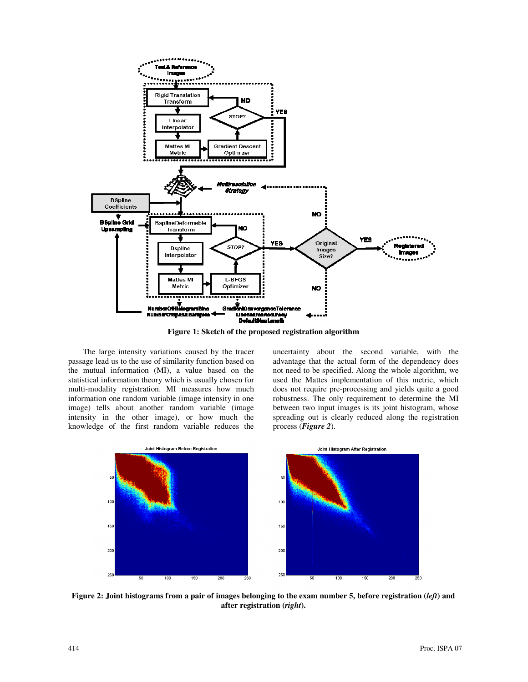

**Figure 1: Sketch of the proposed registration algorithm** 

The large intensity variations caused by the tracer passage lead us to the use of similarity function based on the mutual information (MI), a value based on the statistical information theory which is usually chosen for multi-modality registration. MI measures how much information one random variable (image intensity in one image) tells about another random variable (image intensity in the other image), or how much the knowledge of the first random variable reduces the uncertainty about the second variable, with the advantage that the actual form of the dependency does not need to be specified. Along the whole algorithm, we used the Mattes implementation of this metric, which does not require pre-processing and yields quite a good robustness. The only requirement to determine the MI between two input images is its joint histogram, whose spreading out is clearly reduced along the registration process (*Figure 2*).



**Figure 2: Joint histograms from a pair of images belonging to the exam number 5, before registration (***left***) and after registration (***right***).**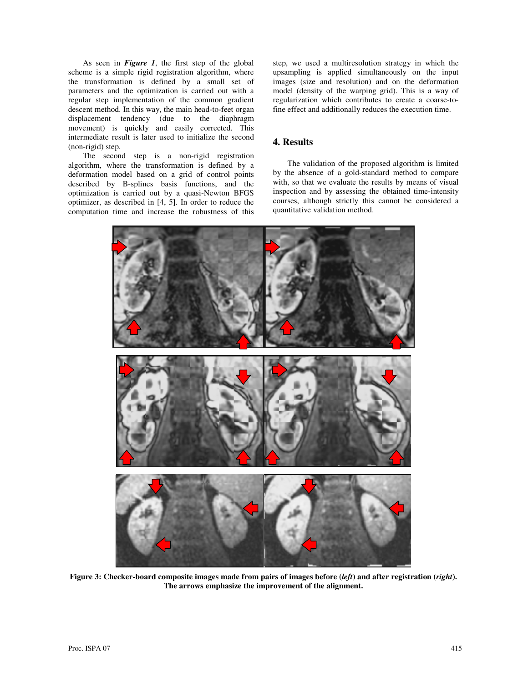As seen in *Figure 1*, the first step of the global scheme is a simple rigid registration algorithm, where the transformation is defined by a small set of parameters and the optimization is carried out with a regular step implementation of the common gradient descent method. In this way, the main head-to-feet organ displacement tendency (due to the diaphragm movement) is quickly and easily corrected. This intermediate result is later used to initialize the second (non-rigid) step.

The second step is a non-rigid registration algorithm, where the transformation is defined by a deformation model based on a grid of control points described by B-splines basis functions, and the optimization is carried out by a quasi-Newton BFGS optimizer, as described in [4, 5]. In order to reduce the computation time and increase the robustness of this step, we used a multiresolution strategy in which the upsampling is applied simultaneously on the input images (size and resolution) and on the deformation model (density of the warping grid). This is a way of regularization which contributes to create a coarse-tofine effect and additionally reduces the execution time.

# **4. Results**

The validation of the proposed algorithm is limited by the absence of a gold-standard method to compare with, so that we evaluate the results by means of visual inspection and by assessing the obtained time-intensity courses, although strictly this cannot be considered a quantitative validation method.



**Figure 3: Checker-board composite images made from pairs of images before (***left***) and after registration (***right***). The arrows emphasize the improvement of the alignment.**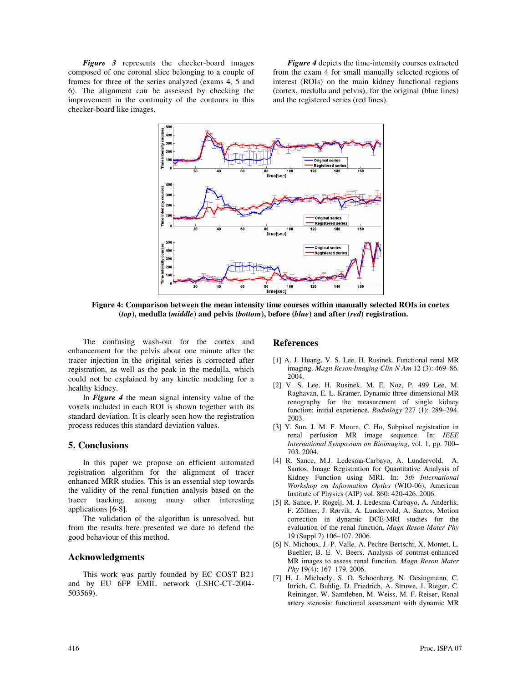*Figure 3* represents the checker-board images composed of one coronal slice belonging to a couple of frames for three of the series analyzed (exams 4, 5 and 6). The alignment can be assessed by checking the improvement in the continuity of the contours in this checker-board like images.

*Figure 4* depicts the time-intensity courses extracted from the exam 4 for small manually selected regions of interest (ROIs) on the main kidney functional regions (cortex, medulla and pelvis), for the original (blue lines) and the registered series (red lines).



**Figure 4: Comparison between the mean intensity time courses within manually selected ROIs in cortex (***top***), medulla (***middle***) and pelvis (***bottom***), before (***blue***) and after (***red***) registration.** 

The confusing wash-out for the cortex and enhancement for the pelvis about one minute after the tracer injection in the original series is corrected after registration, as well as the peak in the medulla, which could not be explained by any kinetic modeling for a healthy kidney.

In *Figure 4* the mean signal intensity value of the voxels included in each ROI is shown together with its standard deviation. It is clearly seen how the registration process reduces this standard deviation values.

### **5. Conclusions**

In this paper we propose an efficient automated registration algorithm for the alignment of tracer enhanced MRR studies. This is an essential step towards the validity of the renal function analysis based on the tracer tracking, among many other interesting applications [6-8].

The validation of the algorithm is unresolved, but from the results here presented we dare to defend the good behaviour of this method.

### **Acknowledgments**

This work was partly founded by EC COST B21 and by EU 6FP EMIL network (LSHC-CT-2004- 503569).

### **References**

- [1] A. J. Huang, V. S. Lee, H. Rusinek, Functional renal MR imaging. *Magn Reson Imaging Clin N Am* 12 (3): 469–86. 2004.
- [2] V. S. Lee, H. Rusinek, M. E. Noz, P. 499 Lee, M. Raghavan, E. L. Kramer, Dynamic three-dimensional MR renography for the measurement of single kidney function: initial experience. *Radiology* 227 (1): 289–294. 2003.
- [3] Y. Sun, J. M. F. Moura, C. Ho, Subpixel registration in renal perfusion MR image sequence. In: *IEEE International Symposium on Bioimaging*, vol. 1, pp. 700– 703. 2004.
- [4] R. Sance, M.J. Ledesma-Carbayo, A. Lundervold, A. Santos, Image Registration for Quantitative Analysis of Kidney Function using MRI. In: *5th International Workshop on Information Optics* (WIO-06), American Institute of Physics (AIP) vol. 860: 420-426. 2006.
- [5] R. Sance, P. Rogelj, M. J. Ledesma-Carbayo, A. Anderlik, F. Zöllner, J. Rørvik, A. Lundervold, A. Santos, Motion correction in dynamic DCE-MRI studies for the evaluation of the renal function, *Magn Reson Mater Phy* 19 (Suppl 7) 106–107. 2006.
- [6] N. Michoux, J.-P. Valle, A. Pechre-Bertschi, X. Montet, L. Buehler, B. E. V. Beers, Analysis of contrast-enhanced MR images to assess renal function. *Magn Reson Mater Phy* 19(4): 167–179. 2006.
- [7] H. J. Michaely, S. O. Schoenberg, N. Oesingmann, C. Ittrich, C. Buhlig, D. Friedrich, A. Struwe, J. Rieger, C. Reininger, W. Samtleben, M. Weiss, M. F. Reiser, Renal artery stenosis: functional assessment with dynamic MR